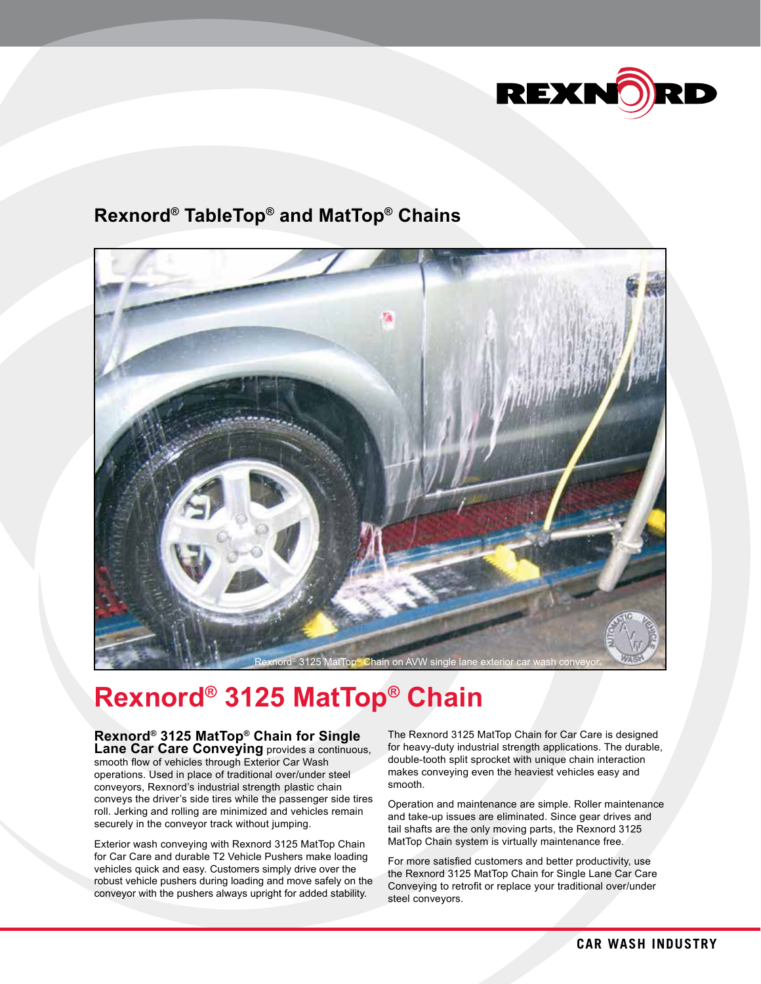

## **Rexnord® TableTop® and MatTop® Chains**



## **Rexnord® 3125 MatTop® Chain**

## **Rexnord® 3125 MatTop® Chain for Single Lane Car Care Conveying** provides a continuous,

smooth flow of vehicles through Exterior Car Wash operations. Used in place of traditional over/under steel conveyors, Rexnord's industrial strength plastic chain conveys the driver's side tires while the passenger side tires roll. Jerking and rolling are minimized and vehicles remain securely in the conveyor track without jumping.

Exterior wash conveying with Rexnord 3125 MatTop Chain for Car Care and durable T2 Vehicle Pushers make loading vehicles quick and easy. Customers simply drive over the robust vehicle pushers during loading and move safely on the conveyor with the pushers always upright for added stability.

The Rexnord 3125 MatTop Chain for Car Care is designed for heavy-duty industrial strength applications. The durable, double-tooth split sprocket with unique chain interaction makes conveying even the heaviest vehicles easy and smooth.

Operation and maintenance are simple. Roller maintenance and take-up issues are eliminated. Since gear drives and tail shafts are the only moving parts, the Rexnord 3125 MatTop Chain system is virtually maintenance free.

For more satisfied customers and better productivity, use the Rexnord 3125 MatTop Chain for Single Lane Car Care Conveying to retrofit or replace your traditional over/under steel conveyors.